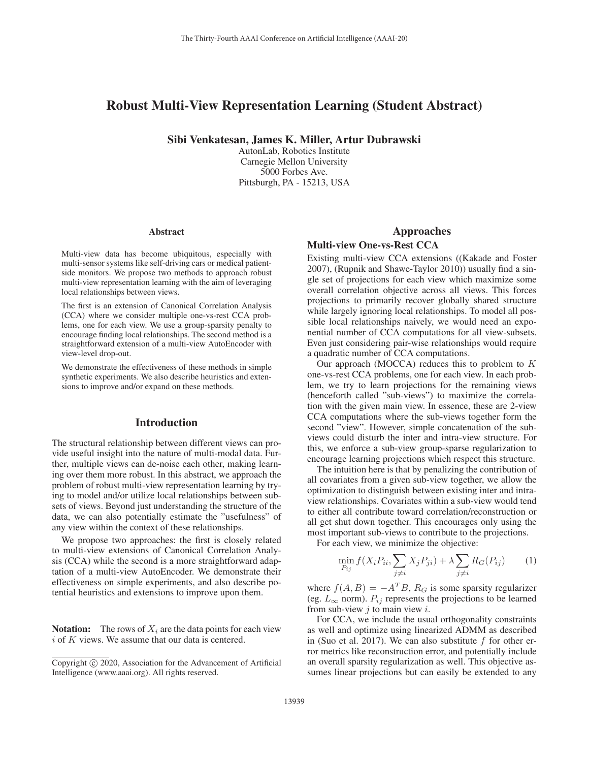# Robust Multi-View Representation Learning (Student Abstract)

Sibi Venkatesan, James K. Miller, Artur Dubrawski

AutonLab, Robotics Institute Carnegie Mellon University 5000 Forbes Ave. Pittsburgh, PA - 15213, USA

#### Abstract

Multi-view data has become ubiquitous, especially with multi-sensor systems like self-driving cars or medical patientside monitors. We propose two methods to approach robust multi-view representation learning with the aim of leveraging local relationships between views.

The first is an extension of Canonical Correlation Analysis (CCA) where we consider multiple one-vs-rest CCA problems, one for each view. We use a group-sparsity penalty to encourage finding local relationships. The second method is a straightforward extension of a multi-view AutoEncoder with view-level drop-out.

We demonstrate the effectiveness of these methods in simple synthetic experiments. We also describe heuristics and extensions to improve and/or expand on these methods.

# Introduction

The structural relationship between different views can provide useful insight into the nature of multi-modal data. Further, multiple views can de-noise each other, making learning over them more robust. In this abstract, we approach the problem of robust multi-view representation learning by trying to model and/or utilize local relationships between subsets of views. Beyond just understanding the structure of the data, we can also potentially estimate the "usefulness" of any view within the context of these relationships.

We propose two approaches: the first is closely related to multi-view extensions of Canonical Correlation Analysis (CCA) while the second is a more straightforward adaptation of a multi-view AutoEncoder. We demonstrate their effectiveness on simple experiments, and also describe potential heuristics and extensions to improve upon them.

**Notation:** The rows of  $X_i$  are the data points for each view  $i$  of  $K$  views. We assume that our data is centered.

# Approaches

## Multi-view One-vs-Rest CCA

Existing multi-view CCA extensions ((Kakade and Foster 2007), (Rupnik and Shawe-Taylor 2010)) usually find a single set of projections for each view which maximize some overall correlation objective across all views. This forces projections to primarily recover globally shared structure while largely ignoring local relationships. To model all possible local relationships naively, we would need an exponential number of CCA computations for all view-subsets. Even just considering pair-wise relationships would require a quadratic number of CCA computations.

Our approach (MOCCA) reduces this to problem to K one-vs-rest CCA problems, one for each view. In each problem, we try to learn projections for the remaining views (henceforth called "sub-views") to maximize the correlation with the given main view. In essence, these are 2-view CCA computations where the sub-views together form the second "view". However, simple concatenation of the subviews could disturb the inter and intra-view structure. For this, we enforce a sub-view group-sparse regularization to encourage learning projections which respect this structure.

The intuition here is that by penalizing the contribution of all covariates from a given sub-view together, we allow the optimization to distinguish between existing inter and intraview relationships. Covariates within a sub-view would tend to either all contribute toward correlation/reconstruction or all get shut down together. This encourages only using the most important sub-views to contribute to the projections.

For each view, we minimize the objective:

$$
\min_{P_{ij}} f(X_i P_{ii}, \sum_{j \neq i} X_j P_{ji}) + \lambda \sum_{j \neq i} R_G(P_{ij}) \qquad (1)
$$

where  $f(A, B) = -A<sup>T</sup>B$ ,  $R<sub>G</sub>$  is some sparsity regularizer (eg.  $L_{\infty}$  norm).  $P_{ij}$  represents the projections to be learned from sub-view  $j$  to main view  $i$ .

For CCA, we include the usual orthogonality constraints as well and optimize using linearized ADMM as described in (Suo et al. 2017). We can also substitute  $f$  for other error metrics like reconstruction error, and potentially include an overall sparsity regularization as well. This objective assumes linear projections but can easily be extended to any

Copyright  $\odot$  2020, Association for the Advancement of Artificial Intelligence (www.aaai.org). All rights reserved.